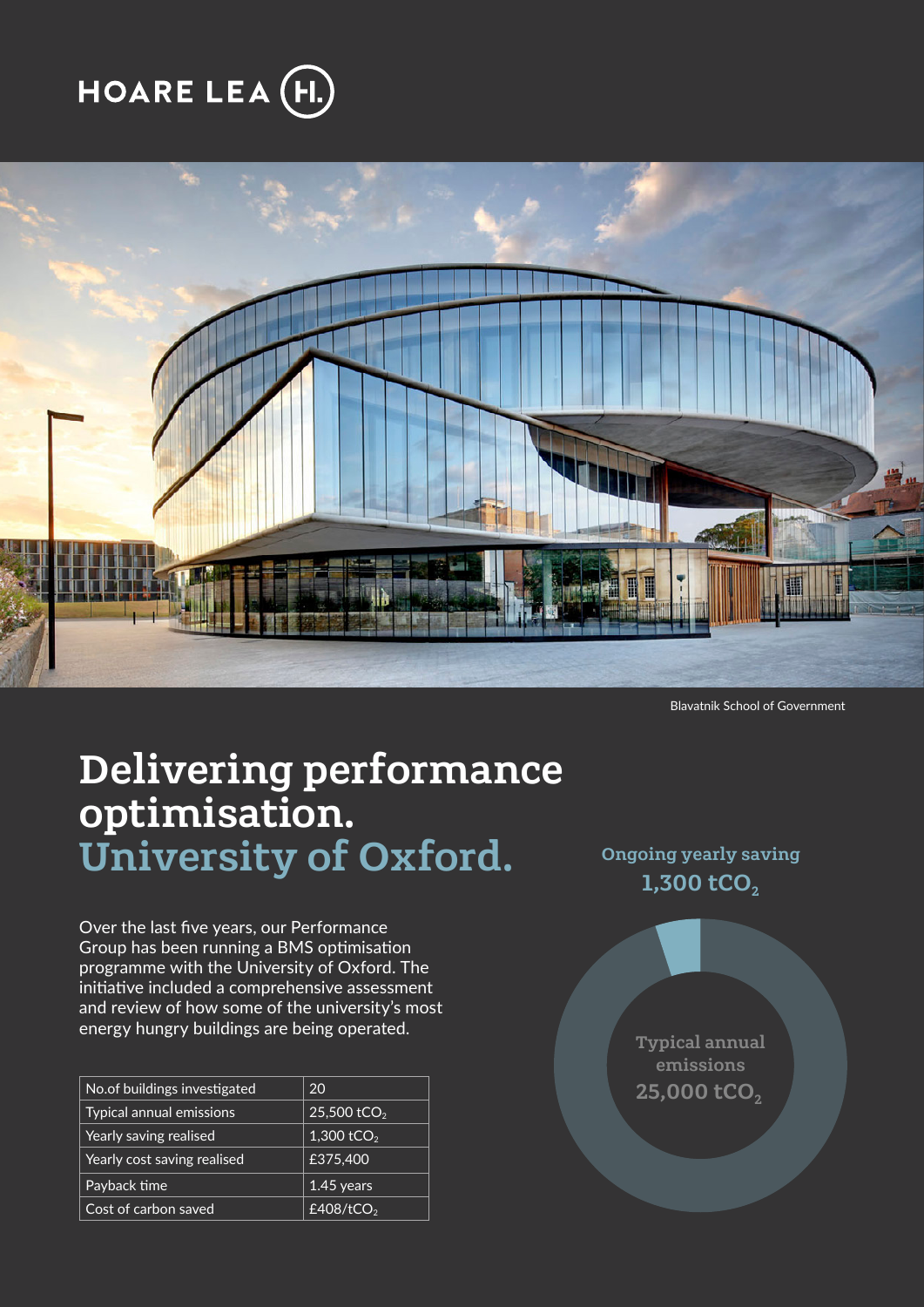# **HOARE LEA (H.**



Blavatnik School of Government

## Delivering performance optimisation. University of Oxford.

Over the last five years, our Performance Group has been running a BMS optimisation programme with the University of Oxford. The initiative included a comprehensive assessment and review of how some of the university's most energy hungry buildings are being operated.

| No.of buildings investigated | 20                      |
|------------------------------|-------------------------|
| Typical annual emissions     | 25,500 tCO <sub>2</sub> |
| Yearly saving realised       | 1,300 tCO <sub>2</sub>  |
| Yearly cost saving realised  | £375,400                |
| Payback time                 | 1.45 years              |
| Cost of carbon saved         | £408/tCO <sub>2</sub>   |

Ongoing yearly saving 1,300  $tCO<sub>2</sub>$ 

> Typical annual emissions  $25,000$  tCO<sub>2</sub>